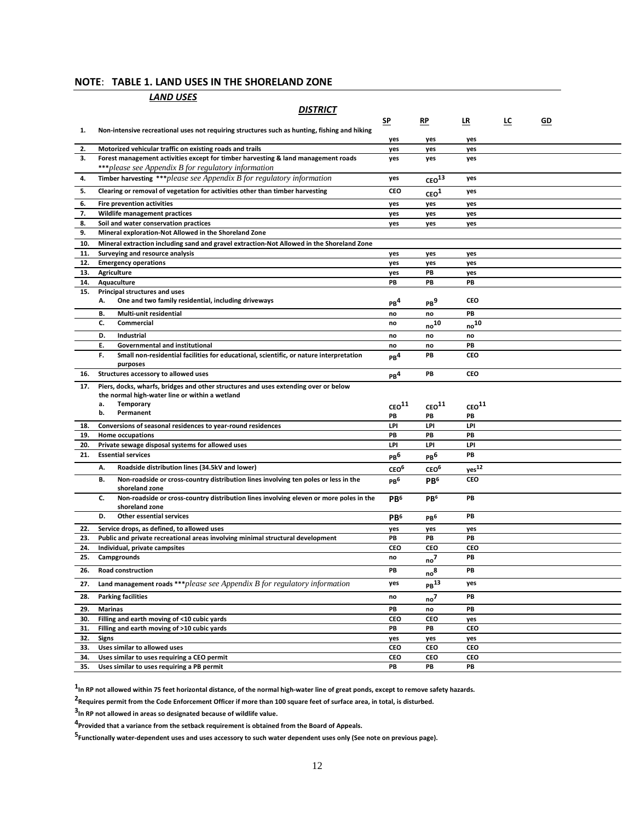### **NOTE**: **TABLE 1. LAND USES IN THE SHORELAND ZONE**

|            | <u>LAND USES</u>                                                                                                                         |                             |                                      |                      |           |    |  |  |
|------------|------------------------------------------------------------------------------------------------------------------------------------------|-----------------------------|--------------------------------------|----------------------|-----------|----|--|--|
|            | <i><b>DISTRICT</b></i>                                                                                                                   |                             |                                      |                      |           |    |  |  |
|            |                                                                                                                                          | <u>SP</u>                   | $RP$                                 | LR                   | <u>LC</u> | GD |  |  |
| 1.         | Non-intensive recreational uses not requiring structures such as hunting, fishing and hiking                                             | yes                         | yes                                  | yes                  |           |    |  |  |
| 2.         | Motorized vehicular traffic on existing roads and trails                                                                                 | yes                         | yes                                  | yes                  |           |    |  |  |
| 3.         | Forest management activities except for timber harvesting & land management roads<br>***please see Appendix B for regulatory information | yes                         | yes                                  | yes                  |           |    |  |  |
| 4.         | <b>Timber harvesting ***</b> please see Appendix $B$ for regulatory information                                                          | yes                         | $\mbox{ceo}^{\mbox{\scriptsize 13}}$ | yes                  |           |    |  |  |
| 5.         | Clearing or removal of vegetation for activities other than timber harvesting                                                            | CEO                         | ceo <sup>1</sup>                     | yes                  |           |    |  |  |
| 6.         | Fire prevention activities                                                                                                               | yes                         | yes                                  | yes                  |           |    |  |  |
| 7.         | Wildlife management practices                                                                                                            | yes                         | yes                                  | yes                  |           |    |  |  |
| 8.<br>9.   | Soil and water conservation practices<br>Mineral exploration-Not Allowed in the Shoreland Zone                                           | yes                         | yes                                  | yes                  |           |    |  |  |
| 10.        | Mineral extraction including sand and gravel extraction-Not Allowed in the Shoreland Zone                                                |                             |                                      |                      |           |    |  |  |
| 11.        | Surveying and resource analysis                                                                                                          | yes                         | yes                                  | yes                  |           |    |  |  |
| 12.        | <b>Emergency operations</b>                                                                                                              | yes                         | yes                                  | yes                  |           |    |  |  |
| 13.        | Agriculture                                                                                                                              | yes                         | PB                                   | yes                  |           |    |  |  |
| 14.        | Aquaculture                                                                                                                              | PB                          | PB                                   | PB                   |           |    |  |  |
| 15.        | Principal structures and uses                                                                                                            |                             |                                      |                      |           |    |  |  |
|            | One and two family residential, including driveways<br>А.                                                                                | PB <sup>4</sup>             | $\mathsf{PB}^9$                      | CEO                  |           |    |  |  |
|            | В.<br>Multi-unit residential                                                                                                             | no                          | no                                   | PB                   |           |    |  |  |
|            | c.<br><b>Commercial</b>                                                                                                                  | no                          | no <sup>10</sup>                     | $_{\sf no}^{\sf 10}$ |           |    |  |  |
|            | D.<br>Industrial                                                                                                                         | no                          | no                                   | no                   |           |    |  |  |
|            | Е.<br>Governmental and institutional                                                                                                     | no                          | no                                   | PB                   |           |    |  |  |
|            | Small non-residential facilities for educational, scientific, or nature interpretation<br>F.<br>purposes                                 | PB <sup>4</sup>             | PB                                   | CEO                  |           |    |  |  |
| 16.        | Structures accessory to allowed uses                                                                                                     | PB <sup>4</sup>             | PB                                   | <b>CEO</b>           |           |    |  |  |
| 17.        | Piers, docks, wharfs, bridges and other structures and uses extending over or below<br>the normal high-water line or within a wetland    |                             |                                      |                      |           |    |  |  |
|            | <b>Temporary</b><br>a.                                                                                                                   | $\mbox{ceo}^{11}$           | CEO <sup>11</sup>                    | CEO <sup>11</sup>    |           |    |  |  |
|            | b.<br>Permanent                                                                                                                          | PB                          | PB                                   | PB                   |           |    |  |  |
| 18.        | Conversions of seasonal residences to year-round residences                                                                              | LPI                         | LPI                                  | LPI                  |           |    |  |  |
| 19.        | Home occupations                                                                                                                         | PB                          | PB                                   | PB                   |           |    |  |  |
| 20.        | Private sewage disposal systems for allowed uses                                                                                         | LPI                         | LPI                                  | LPI                  |           |    |  |  |
| 21.        | <b>Essential services</b>                                                                                                                | PB <sup>6</sup>             | PB <sup>b</sup>                      | PB                   |           |    |  |  |
|            | А.<br>Roadside distribution lines (34.5kV and lower)                                                                                     | CEO <sup>6</sup>            | CEO <sup>6</sup>                     | yes <sup>12</sup>    |           |    |  |  |
|            | Non-roadside or cross-country distribution lines involving ten poles or less in the<br>в.<br>shoreland zone                              | PB <sup>6</sup>             | PB <sup>6</sup>                      | CEO                  |           |    |  |  |
|            | Non-roadside or cross-country distribution lines involving eleven or more poles in the<br>c.<br>shoreland zone                           | P <sub>B</sub> <sub>6</sub> | PB <sup>6</sup>                      | PB                   |           |    |  |  |
|            | D.<br><b>Other essential services</b>                                                                                                    | PB <sup>6</sup>             | PB <sup>6</sup>                      | PB                   |           |    |  |  |
| 22.        | Service drops, as defined, to allowed uses                                                                                               | yes                         | yes                                  | yes                  |           |    |  |  |
| 23.        | Public and private recreational areas involving minimal structural development                                                           | PB                          | PB                                   | PB                   |           |    |  |  |
| 24.        | Individual, private campsites                                                                                                            | <b>CEO</b>                  | <b>CEO</b>                           | CEO                  |           |    |  |  |
| 25.        | Campgrounds                                                                                                                              | no                          | no <sup>7</sup>                      | PB                   |           |    |  |  |
| 26.        | Road construction                                                                                                                        | PB                          | $\mathsf{no}^\mathsf{8}$             | PB                   |           |    |  |  |
| 27.        | Land management roads *** please see Appendix $B$ for regulatory information                                                             | yes                         | PB <sup>13</sup>                     | yes                  |           |    |  |  |
| 28.        | <b>Parking facilities</b>                                                                                                                | no                          | no <sup>7</sup>                      | PB                   |           |    |  |  |
| 29.        | <b>Marinas</b>                                                                                                                           | PB                          | no                                   | PB                   |           |    |  |  |
| 30.        | Filling and earth moving of <10 cubic yards                                                                                              | CEO                         | CEO                                  | yes                  |           |    |  |  |
| 31.        | Filling and earth moving of >10 cubic yards                                                                                              | PB                          | PB                                   | CEO                  |           |    |  |  |
| 32.        | <b>Signs</b>                                                                                                                             | yes                         | yes                                  | yes                  |           |    |  |  |
| 33.<br>34. | Uses similar to allowed uses<br>Uses similar to uses requiring a CEO permit                                                              | CEO<br>CEO                  | <b>CEO</b><br>CEO                    | CEO<br>CEO           |           |    |  |  |
| 35.        | Uses similar to uses requiring a PB permit                                                                                               | PB                          | PB                                   | PB                   |           |    |  |  |

**1 In RP not allowed within 75 feet horizontal distance, of the normal high-water line of great ponds, except to remove safety hazards.** 

**2 Requires permit from the Code Enforcement Officer if more than 100 square feet of surface area, in total, is disturbed.** 

**3 In RP not allowed in areas so designated because of wildlife value.** 

**4 Provided that a variance from the setback requirement is obtained from the Board of Appeals.** 

**5**<br>Functionally water-dependent uses and uses accessory to such water dependent uses only (See note on previous page).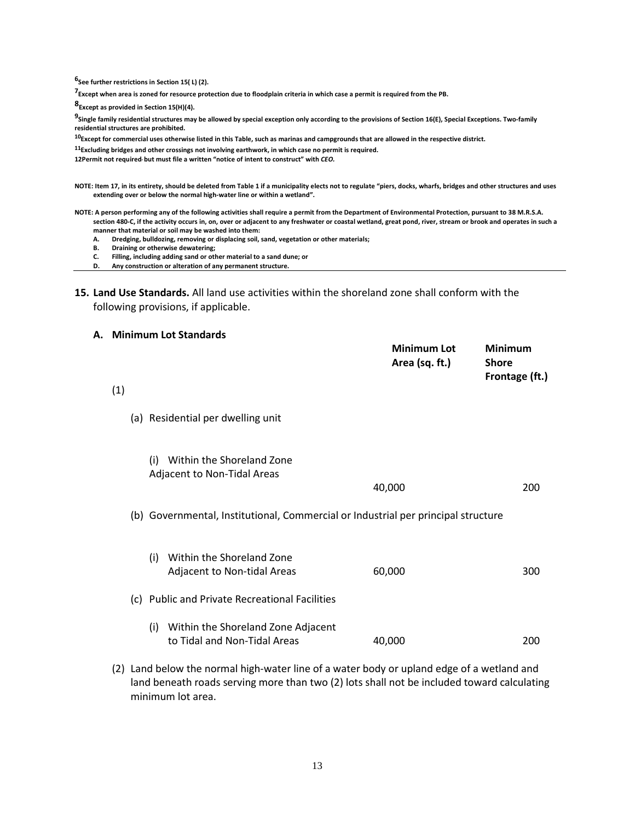**6 See further restrictions in Section 15( L) (2).** 

**7 Except when area is zoned for resource protection due to floodplain criteria in which case a permit is required from the PB.** 

**8Except as provided in Section 15(H)(4).** 

**9 Single family residential structures may be allowed by special exception only according to the provisions of Section 16(E), Special Exceptions. Two-family residential structures are prohibited.** 

**<sup>10</sup>Except for commercial uses otherwise listed in this Table, such as marinas and campgrounds that are allowed in the respective district.** 

**<sup>11</sup>Excluding bridges and other crossings not involving earthwork, in which case no permit is required.** 

**12Permit not required, but must file a written "notice of intent to construct" with** *CEO.* 

- **NOTE: Item 17, in its entirety, should be deleted from Table 1 if a municipality elects not to regulate "piers, docks, wharfs, bridges and other structures and uses extending over or below the normal high-water line or within a wetland".**
- **NOTE: A person performing any of the following activities shall require a permit from the Department of Environmental Protection, pursuant to 38 M.R.S.A. section 480-C, if the activity occurs in, on, over or adjacent to any freshwater or coastal wetland, great pond, river, stream or brook and operates in such a manner that material or soil may be washed into them:** 
	- **A. Dredging, bulldozing, removing or displacing soil, sand, vegetation or other materials;**
	- **B. Draining or otherwise dewatering;**
	- **C. Filling, including adding sand or other material to a sand dune; or**
	- **D. Any construction or alteration of any permanent structure.**
- **15. Land Use Standards.** All land use activities within the shoreland zone shall conform with the following provisions, if applicable.

#### **A. Minimum Lot Standards**

| (1) |     |                                                                                                                                                                                                                               | <b>Minimum Lot</b><br>Area (sq. ft.) | <b>Minimum</b><br><b>Shore</b><br>Frontage (ft.) |
|-----|-----|-------------------------------------------------------------------------------------------------------------------------------------------------------------------------------------------------------------------------------|--------------------------------------|--------------------------------------------------|
|     |     |                                                                                                                                                                                                                               |                                      |                                                  |
|     |     | (a) Residential per dwelling unit                                                                                                                                                                                             |                                      |                                                  |
|     | (i) | Within the Shoreland Zone<br>Adjacent to Non-Tidal Areas                                                                                                                                                                      |                                      |                                                  |
|     |     |                                                                                                                                                                                                                               | 40,000                               | 200                                              |
|     |     | (b) Governmental, Institutional, Commercial or Industrial per principal structure                                                                                                                                             |                                      |                                                  |
|     | (i) | Within the Shoreland Zone<br>Adjacent to Non-tidal Areas                                                                                                                                                                      | 60,000                               | 300                                              |
|     |     | (c) Public and Private Recreational Facilities                                                                                                                                                                                |                                      |                                                  |
|     | (i) | Within the Shoreland Zone Adjacent<br>to Tidal and Non-Tidal Areas                                                                                                                                                            | 40,000                               | 200                                              |
|     |     | . The contract of the contract of the contract of the contract of the contract of the contract of the contract of the contract of the contract of the contract of the contract of the contract of the contract of the contrac |                                      |                                                  |

(2) Land below the normal high-water line of a water body or upland edge of a wetland and land beneath roads serving more than two (2) lots shall not be included toward calculating minimum lot area.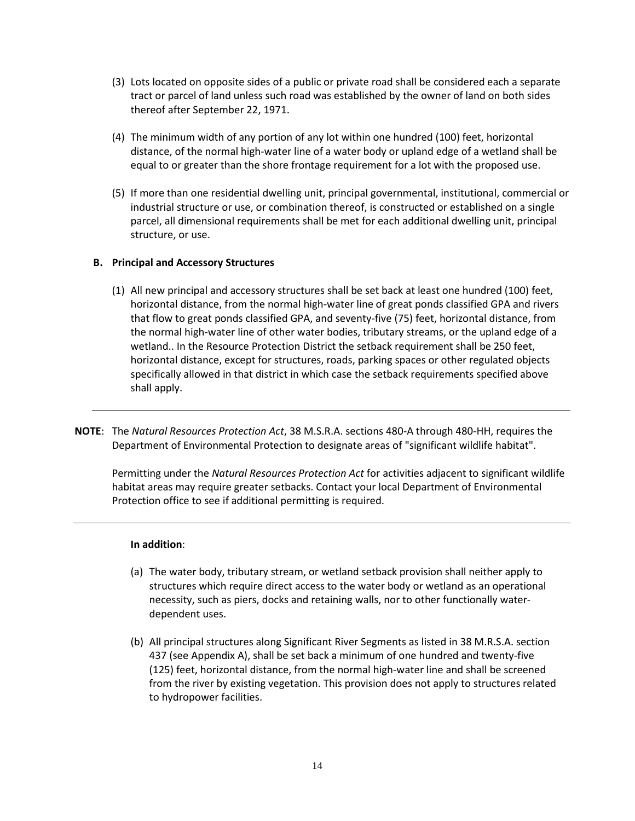- (3) Lots located on opposite sides of a public or private road shall be considered each a separate tract or parcel of land unless such road was established by the owner of land on both sides thereof after September 22, 1971.
- (4) The minimum width of any portion of any lot within one hundred (100) feet, horizontal distance, of the normal high-water line of a water body or upland edge of a wetland shall be equal to or greater than the shore frontage requirement for a lot with the proposed use.
- (5) If more than one residential dwelling unit, principal governmental, institutional, commercial or industrial structure or use, or combination thereof, is constructed or established on a single parcel, all dimensional requirements shall be met for each additional dwelling unit, principal structure, or use.

## **B. Principal and Accessory Structures**

- (1) All new principal and accessory structures shall be set back at least one hundred (100) feet, horizontal distance, from the normal high-water line of great ponds classified GPA and rivers that flow to great ponds classified GPA, and seventy-five (75) feet, horizontal distance, from the normal high-water line of other water bodies, tributary streams, or the upland edge of a wetland.. In the Resource Protection District the setback requirement shall be 250 feet, horizontal distance, except for structures, roads, parking spaces or other regulated objects specifically allowed in that district in which case the setback requirements specified above shall apply.
- **NOTE**: The *Natural Resources Protection Act*, 38 M.S.R.A. sections 480-A through 480-HH, requires the Department of Environmental Protection to designate areas of "significant wildlife habitat".

Permitting under the *Natural Resources Protection Act* for activities adjacent to significant wildlife habitat areas may require greater setbacks. Contact your local Department of Environmental Protection office to see if additional permitting is required.

### **In addition**:

- (a) The water body, tributary stream, or wetland setback provision shall neither apply to structures which require direct access to the water body or wetland as an operational necessity, such as piers, docks and retaining walls, nor to other functionally waterdependent uses.
- (b) All principal structures along Significant River Segments as listed in 38 M.R.S.A. section 437 (see Appendix A), shall be set back a minimum of one hundred and twenty-five (125) feet, horizontal distance, from the normal high-water line and shall be screened from the river by existing vegetation. This provision does not apply to structures related to hydropower facilities.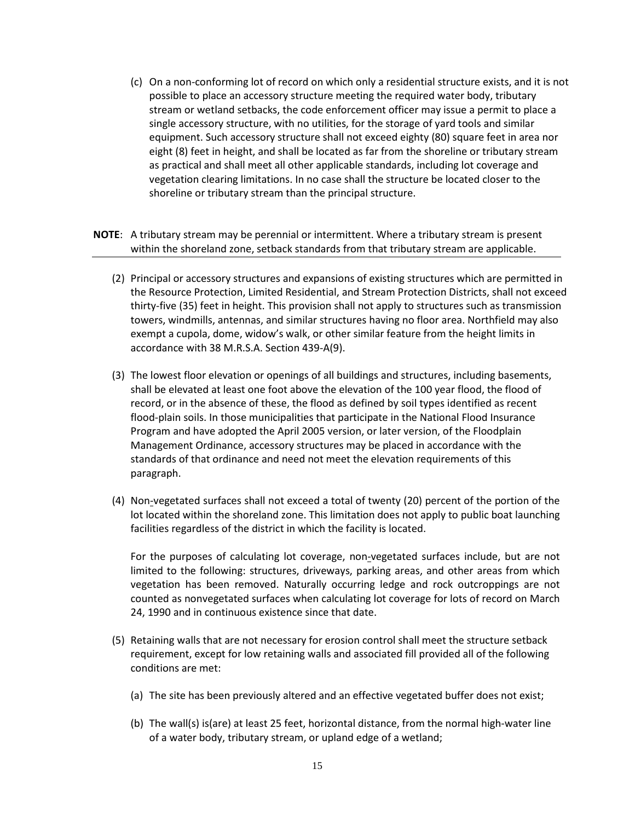- (c) On a non-conforming lot of record on which only a residential structure exists, and it is not possible to place an accessory structure meeting the required water body, tributary stream or wetland setbacks, the code enforcement officer may issue a permit to place a single accessory structure, with no utilities, for the storage of yard tools and similar equipment. Such accessory structure shall not exceed eighty (80) square feet in area nor eight (8) feet in height, and shall be located as far from the shoreline or tributary stream as practical and shall meet all other applicable standards, including lot coverage and vegetation clearing limitations. In no case shall the structure be located closer to the shoreline or tributary stream than the principal structure.
- **NOTE**: A tributary stream may be perennial or intermittent. Where a tributary stream is present within the shoreland zone, setback standards from that tributary stream are applicable.
	- (2) Principal or accessory structures and expansions of existing structures which are permitted in the Resource Protection, Limited Residential, and Stream Protection Districts, shall not exceed thirty-five (35) feet in height. This provision shall not apply to structures such as transmission towers, windmills, antennas, and similar structures having no floor area. Northfield may also exempt a cupola, dome, widow's walk, or other similar feature from the height limits in accordance with 38 M.R.S.A. Section 439-A(9).
	- (3) The lowest floor elevation or openings of all buildings and structures, including basements, shall be elevated at least one foot above the elevation of the 100 year flood, the flood of record, or in the absence of these, the flood as defined by soil types identified as recent flood-plain soils. In those municipalities that participate in the National Flood Insurance Program and have adopted the April 2005 version, or later version, of the Floodplain Management Ordinance, accessory structures may be placed in accordance with the standards of that ordinance and need not meet the elevation requirements of this paragraph.
	- (4) Non-vegetated surfaces shall not exceed a total of twenty (20) percent of the portion of the lot located within the shoreland zone. This limitation does not apply to public boat launching facilities regardless of the district in which the facility is located.

 For the purposes of calculating lot coverage, non-vegetated surfaces include, but are not limited to the following: structures, driveways, parking areas, and other areas from which vegetation has been removed. Naturally occurring ledge and rock outcroppings are not counted as nonvegetated surfaces when calculating lot coverage for lots of record on March 24, 1990 and in continuous existence since that date.

- (5) Retaining walls that are not necessary for erosion control shall meet the structure setback requirement, except for low retaining walls and associated fill provided all of the following conditions are met:
	- (a) The site has been previously altered and an effective vegetated buffer does not exist;
	- (b) The wall(s) is(are) at least 25 feet, horizontal distance, from the normal high-water line of a water body, tributary stream, or upland edge of a wetland;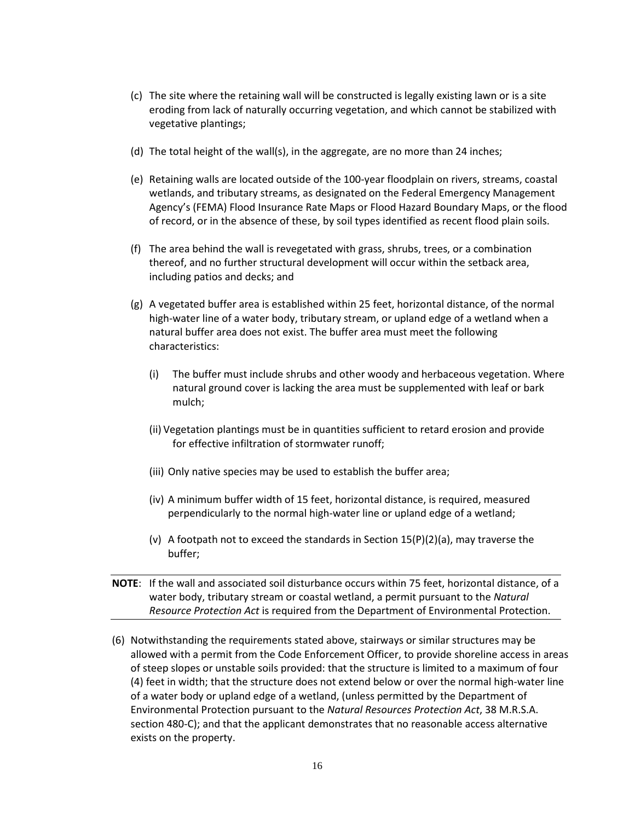- (c) The site where the retaining wall will be constructed is legally existing lawn or is a site eroding from lack of naturally occurring vegetation, and which cannot be stabilized with vegetative plantings;
- (d) The total height of the wall(s), in the aggregate, are no more than 24 inches;
- (e) Retaining walls are located outside of the 100-year floodplain on rivers, streams, coastal wetlands, and tributary streams, as designated on the Federal Emergency Management Agency's (FEMA) Flood Insurance Rate Maps or Flood Hazard Boundary Maps, or the flood of record, or in the absence of these, by soil types identified as recent flood plain soils.
- (f) The area behind the wall is revegetated with grass, shrubs, trees, or a combination thereof, and no further structural development will occur within the setback area, including patios and decks; and
- (g) A vegetated buffer area is established within 25 feet, horizontal distance, of the normal high-water line of a water body, tributary stream, or upland edge of a wetland when a natural buffer area does not exist. The buffer area must meet the following characteristics:
	- (i) The buffer must include shrubs and other woody and herbaceous vegetation. Where natural ground cover is lacking the area must be supplemented with leaf or bark mulch;
	- (ii) Vegetation plantings must be in quantities sufficient to retard erosion and provide for effective infiltration of stormwater runoff;
	- (iii) Only native species may be used to establish the buffer area;
	- (iv) A minimum buffer width of 15 feet, horizontal distance, is required, measured perpendicularly to the normal high-water line or upland edge of a wetland;
	- (v) A footpath not to exceed the standards in Section  $15(P)(2)(a)$ , may traverse the buffer;
- **NOTE**: If the wall and associated soil disturbance occurs within 75 feet, horizontal distance, of a water body, tributary stream or coastal wetland, a permit pursuant to the *Natural Resource Protection Act* is required from the Department of Environmental Protection.
- (6) Notwithstanding the requirements stated above, stairways or similar structures may be allowed with a permit from the Code Enforcement Officer, to provide shoreline access in areas of steep slopes or unstable soils provided: that the structure is limited to a maximum of four (4) feet in width; that the structure does not extend below or over the normal high-water line of a water body or upland edge of a wetland, (unless permitted by the Department of Environmental Protection pursuant to the *Natural Resources Protection Act*, 38 M.R.S.A. section 480-C); and that the applicant demonstrates that no reasonable access alternative exists on the property.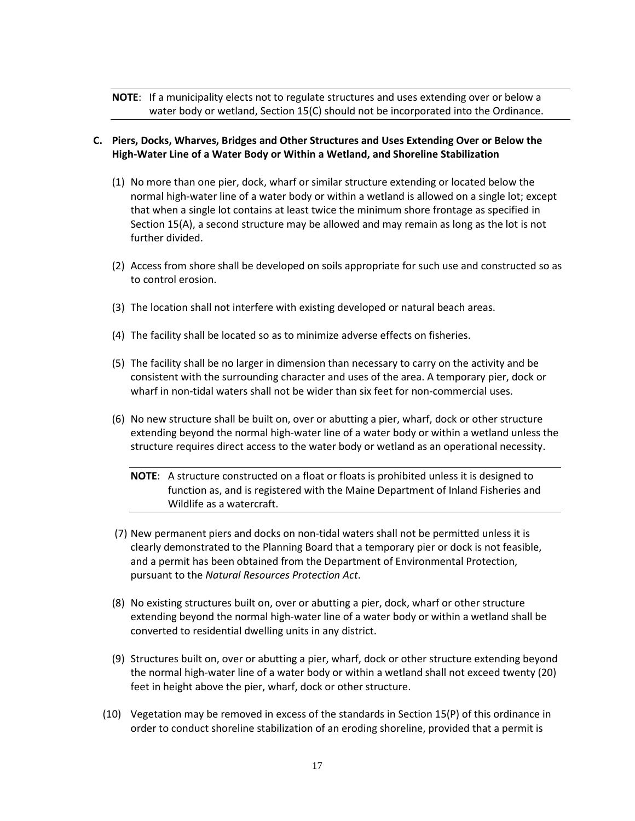**NOTE**: If a municipality elects not to regulate structures and uses extending over or below a water body or wetland, Section 15(C) should not be incorporated into the Ordinance.

# **C. Piers, Docks, Wharves, Bridges and Other Structures and Uses Extending Over or Below the High-Water Line of a Water Body or Within a Wetland, and Shoreline Stabilization**

- (1) No more than one pier, dock, wharf or similar structure extending or located below the normal high-water line of a water body or within a wetland is allowed on a single lot; except that when a single lot contains at least twice the minimum shore frontage as specified in Section 15(A), a second structure may be allowed and may remain as long as the lot is not further divided.
- (2) Access from shore shall be developed on soils appropriate for such use and constructed so as to control erosion.
- (3) The location shall not interfere with existing developed or natural beach areas.
- (4) The facility shall be located so as to minimize adverse effects on fisheries.
- (5) The facility shall be no larger in dimension than necessary to carry on the activity and be consistent with the surrounding character and uses of the area. A temporary pier, dock or wharf in non-tidal waters shall not be wider than six feet for non-commercial uses.
- (6) No new structure shall be built on, over or abutting a pier, wharf, dock or other structure extending beyond the normal high-water line of a water body or within a wetland unless the structure requires direct access to the water body or wetland as an operational necessity.

**NOTE**: A structure constructed on a float or floats is prohibited unless it is designed to function as, and is registered with the Maine Department of Inland Fisheries and Wildlife as a watercraft.

- (7) New permanent piers and docks on non-tidal waters shall not be permitted unless it is clearly demonstrated to the Planning Board that a temporary pier or dock is not feasible, and a permit has been obtained from the Department of Environmental Protection, pursuant to the *Natural Resources Protection Act*.
- (8) No existing structures built on, over or abutting a pier, dock, wharf or other structure extending beyond the normal high-water line of a water body or within a wetland shall be converted to residential dwelling units in any district.
- (9) Structures built on, over or abutting a pier, wharf, dock or other structure extending beyond the normal high-water line of a water body or within a wetland shall not exceed twenty (20) feet in height above the pier, wharf, dock or other structure.
- (10) Vegetation may be removed in excess of the standards in Section 15(P) of this ordinance in order to conduct shoreline stabilization of an eroding shoreline, provided that a permit is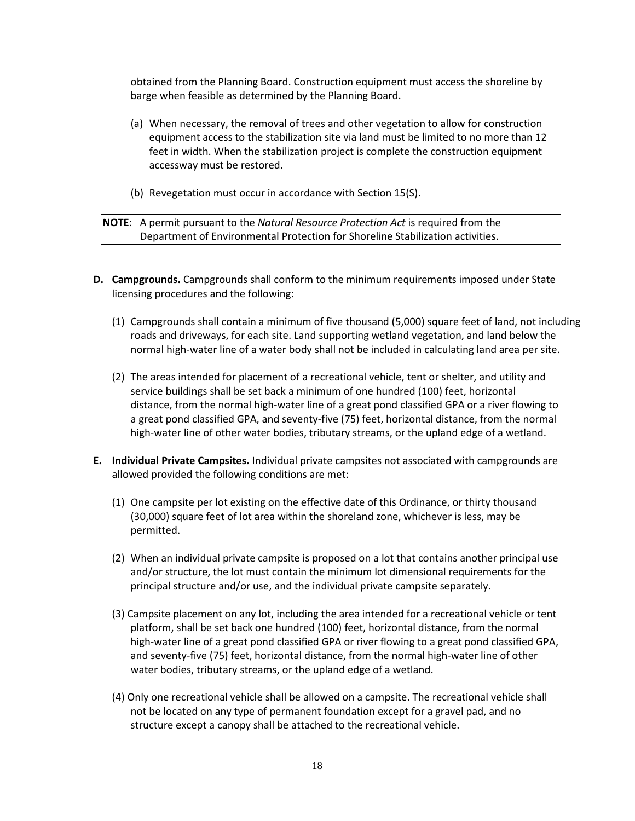obtained from the Planning Board. Construction equipment must access the shoreline by barge when feasible as determined by the Planning Board.

- (a) When necessary, the removal of trees and other vegetation to allow for construction equipment access to the stabilization site via land must be limited to no more than 12 feet in width. When the stabilization project is complete the construction equipment accessway must be restored.
- (b) Revegetation must occur in accordance with Section 15(S).

**NOTE**: A permit pursuant to the *Natural Resource Protection Act* is required from the Department of Environmental Protection for Shoreline Stabilization activities.

- **D. Campgrounds.** Campgrounds shall conform to the minimum requirements imposed under State licensing procedures and the following:
	- (1) Campgrounds shall contain a minimum of five thousand (5,000) square feet of land, not including roads and driveways, for each site. Land supporting wetland vegetation, and land below the normal high-water line of a water body shall not be included in calculating land area per site.
	- (2) The areas intended for placement of a recreational vehicle, tent or shelter, and utility and service buildings shall be set back a minimum of one hundred (100) feet, horizontal distance, from the normal high-water line of a great pond classified GPA or a river flowing to a great pond classified GPA, and seventy-five (75) feet, horizontal distance, from the normal high-water line of other water bodies, tributary streams, or the upland edge of a wetland.
- **E. Individual Private Campsites.** Individual private campsites not associated with campgrounds are allowed provided the following conditions are met:
	- (1) One campsite per lot existing on the effective date of this Ordinance, or thirty thousand (30,000) square feet of lot area within the shoreland zone, whichever is less, may be permitted.
	- (2) When an individual private campsite is proposed on a lot that contains another principal use and/or structure, the lot must contain the minimum lot dimensional requirements for the principal structure and/or use, and the individual private campsite separately.
	- (3) Campsite placement on any lot, including the area intended for a recreational vehicle or tent platform, shall be set back one hundred (100) feet, horizontal distance, from the normal high-water line of a great pond classified GPA or river flowing to a great pond classified GPA, and seventy-five (75) feet, horizontal distance, from the normal high-water line of other water bodies, tributary streams, or the upland edge of a wetland.
	- (4) Only one recreational vehicle shall be allowed on a campsite. The recreational vehicle shall not be located on any type of permanent foundation except for a gravel pad, and no structure except a canopy shall be attached to the recreational vehicle.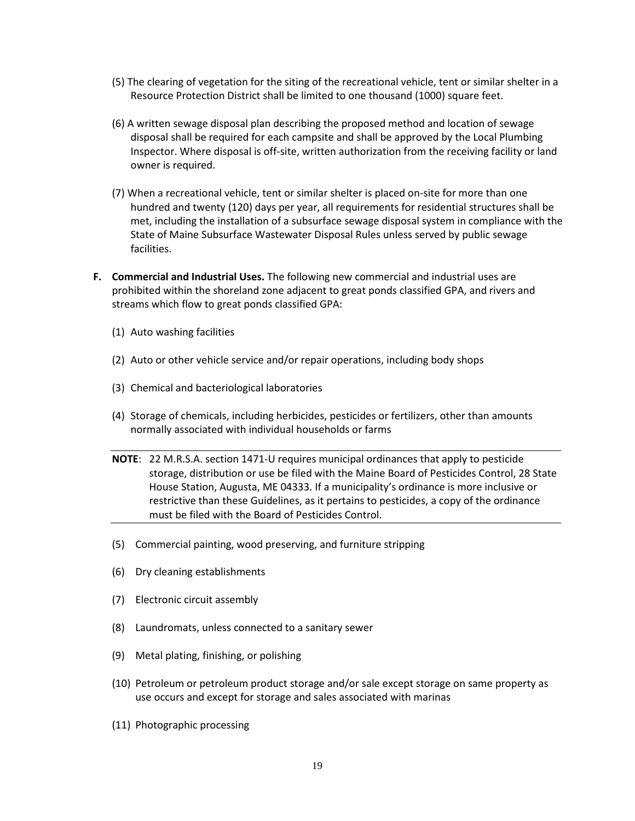- (5) The clearing of vegetation for the siting of the recreational vehicle, tent or similar shelter in a Resource Protection District shall be limited to one thousand (1000) square feet.
- (6) A written sewage disposal plan describing the proposed method and location of sewage disposal shall be required for each campsite and shall be approved by the Local Plumbing Inspector. Where disposal is off-site, written authorization from the receiving facility or land owner is required.
- (7) When a recreational vehicle, tent or similar shelter is placed on-site for more than one hundred and twenty (120) days per year, all requirements for residential structures shall be met, including the installation of a subsurface sewage disposal system in compliance with the State of Maine Subsurface Wastewater Disposal Rules unless served by public sewage facilities.
- **F. Commercial and Industrial Uses.** The following new commercial and industrial uses are prohibited within the shoreland zone adjacent to great ponds classified GPA, and rivers and streams which flow to great ponds classified GPA:
	- (1) Auto washing facilities
	- (2) Auto or other vehicle service and/or repair operations, including body shops
	- (3) Chemical and bacteriological laboratories
	- (4) Storage of chemicals, including herbicides, pesticides or fertilizers, other than amounts normally associated with individual households or farms
	- **NOTE**: 22 M.R.S.A. section 1471-U requires municipal ordinances that apply to pesticide storage, distribution or use be filed with the Maine Board of Pesticides Control, 28 State House Station, Augusta, ME 04333. If a municipality's ordinance is more inclusive or restrictive than these Guidelines, as it pertains to pesticides, a copy of the ordinance must be filed with the Board of Pesticides Control.
	- (5) Commercial painting, wood preserving, and furniture stripping
	- (6) Dry cleaning establishments
	- (7) Electronic circuit assembly
	- (8) Laundromats, unless connected to a sanitary sewer
	- (9) Metal plating, finishing, or polishing
	- (10) Petroleum or petroleum product storage and/or sale except storage on same property as use occurs and except for storage and sales associated with marinas
	- (11) Photographic processing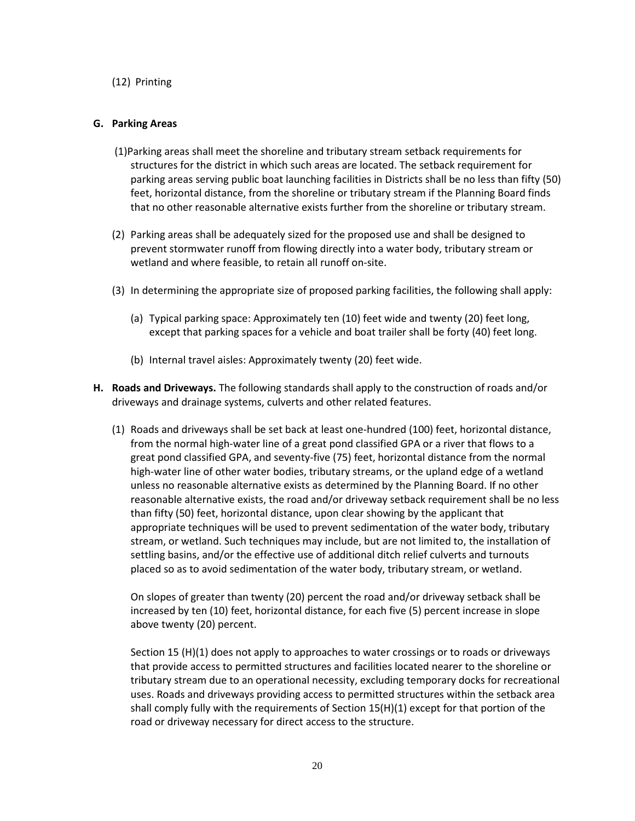## (12) Printing

## **G. Parking Areas**

- (1)Parking areas shall meet the shoreline and tributary stream setback requirements for structures for the district in which such areas are located. The setback requirement for parking areas serving public boat launching facilities in Districts shall be no less than fifty (50) feet, horizontal distance, from the shoreline or tributary stream if the Planning Board finds that no other reasonable alternative exists further from the shoreline or tributary stream.
- (2) Parking areas shall be adequately sized for the proposed use and shall be designed to prevent stormwater runoff from flowing directly into a water body, tributary stream or wetland and where feasible, to retain all runoff on-site.
- (3) In determining the appropriate size of proposed parking facilities, the following shall apply:
	- (a) Typical parking space: Approximately ten (10) feet wide and twenty (20) feet long, except that parking spaces for a vehicle and boat trailer shall be forty (40) feet long.
	- (b) Internal travel aisles: Approximately twenty (20) feet wide.
- **H. Roads and Driveways.** The following standards shall apply to the construction of roads and/or driveways and drainage systems, culverts and other related features.
	- (1) Roads and driveways shall be set back at least one-hundred (100) feet, horizontal distance, from the normal high-water line of a great pond classified GPA or a river that flows to a great pond classified GPA, and seventy-five (75) feet, horizontal distance from the normal high-water line of other water bodies, tributary streams, or the upland edge of a wetland unless no reasonable alternative exists as determined by the Planning Board. If no other reasonable alternative exists, the road and/or driveway setback requirement shall be no less than fifty (50) feet, horizontal distance, upon clear showing by the applicant that appropriate techniques will be used to prevent sedimentation of the water body, tributary stream, or wetland. Such techniques may include, but are not limited to, the installation of settling basins, and/or the effective use of additional ditch relief culverts and turnouts placed so as to avoid sedimentation of the water body, tributary stream, or wetland.

 On slopes of greater than twenty (20) percent the road and/or driveway setback shall be increased by ten (10) feet, horizontal distance, for each five (5) percent increase in slope above twenty (20) percent.

 Section 15 (H)(1) does not apply to approaches to water crossings or to roads or driveways that provide access to permitted structures and facilities located nearer to the shoreline or tributary stream due to an operational necessity, excluding temporary docks for recreational uses. Roads and driveways providing access to permitted structures within the setback area shall comply fully with the requirements of Section 15(H)(1) except for that portion of the road or driveway necessary for direct access to the structure.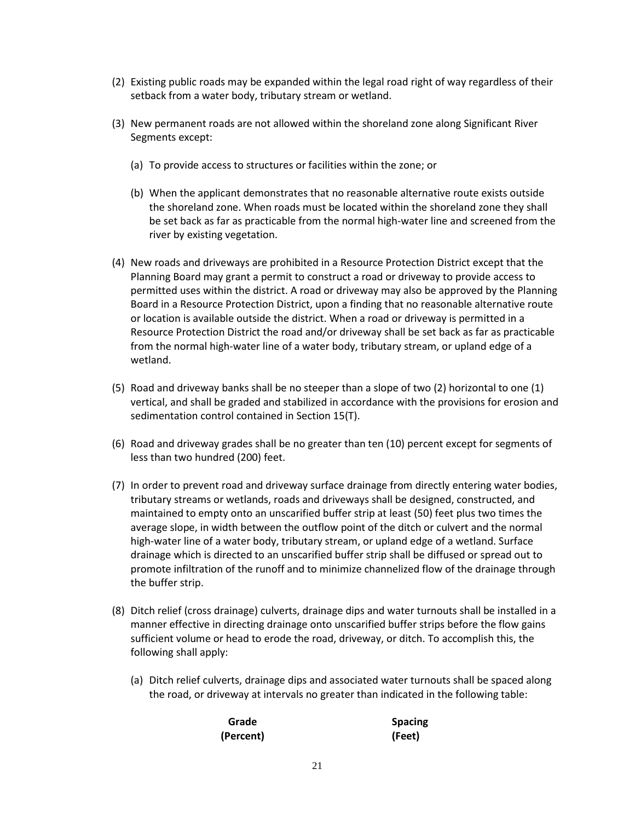- (2) Existing public roads may be expanded within the legal road right of way regardless of their setback from a water body, tributary stream or wetland.
- (3) New permanent roads are not allowed within the shoreland zone along Significant River Segments except:
	- (a) To provide access to structures or facilities within the zone; or
	- (b) When the applicant demonstrates that no reasonable alternative route exists outside the shoreland zone. When roads must be located within the shoreland zone they shall be set back as far as practicable from the normal high-water line and screened from the river by existing vegetation.
- (4) New roads and driveways are prohibited in a Resource Protection District except that the Planning Board may grant a permit to construct a road or driveway to provide access to permitted uses within the district. A road or driveway may also be approved by the Planning Board in a Resource Protection District, upon a finding that no reasonable alternative route or location is available outside the district. When a road or driveway is permitted in a Resource Protection District the road and/or driveway shall be set back as far as practicable from the normal high-water line of a water body, tributary stream, or upland edge of a wetland.
- (5) Road and driveway banks shall be no steeper than a slope of two (2) horizontal to one (1) vertical, and shall be graded and stabilized in accordance with the provisions for erosion and sedimentation control contained in Section 15(T).
- (6) Road and driveway grades shall be no greater than ten (10) percent except for segments of less than two hundred (200) feet.
- (7) In order to prevent road and driveway surface drainage from directly entering water bodies, tributary streams or wetlands, roads and driveways shall be designed, constructed, and maintained to empty onto an unscarified buffer strip at least (50) feet plus two times the average slope, in width between the outflow point of the ditch or culvert and the normal high-water line of a water body, tributary stream, or upland edge of a wetland. Surface drainage which is directed to an unscarified buffer strip shall be diffused or spread out to promote infiltration of the runoff and to minimize channelized flow of the drainage through the buffer strip.
- (8) Ditch relief (cross drainage) culverts, drainage dips and water turnouts shall be installed in a manner effective in directing drainage onto unscarified buffer strips before the flow gains sufficient volume or head to erode the road, driveway, or ditch. To accomplish this, the following shall apply:
	- (a) Ditch relief culverts, drainage dips and associated water turnouts shall be spaced along the road, or driveway at intervals no greater than indicated in the following table:

| Grade     | <b>Spacing</b> |
|-----------|----------------|
| (Percent) | (Feet)         |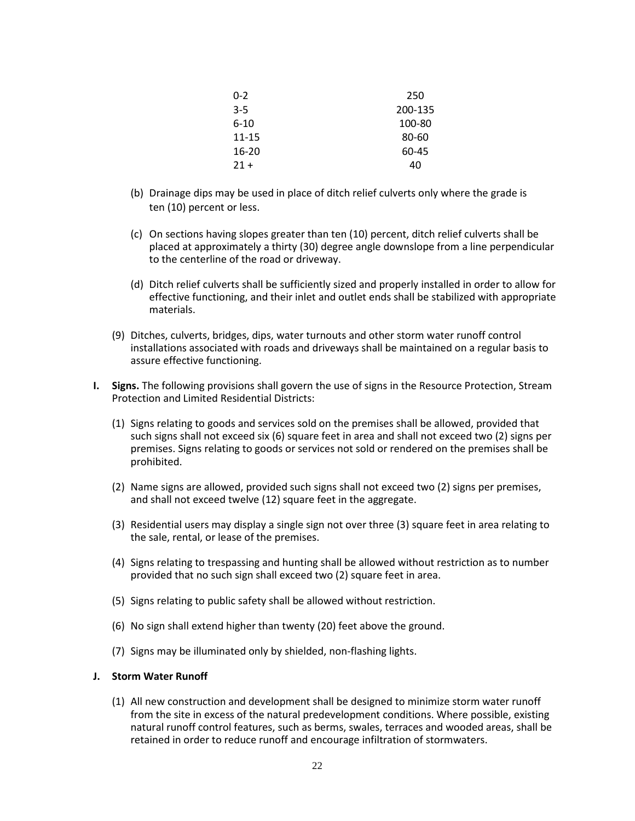| $0 - 2$   | 250     |
|-----------|---------|
| $3 - 5$   | 200-135 |
| $6 - 10$  | 100-80  |
| $11 - 15$ | 80-60   |
| $16 - 20$ | 60-45   |
| $21 +$    | 40      |

- (b) Drainage dips may be used in place of ditch relief culverts only where the grade is ten (10) percent or less.
- (c) On sections having slopes greater than ten (10) percent, ditch relief culverts shall be placed at approximately a thirty (30) degree angle downslope from a line perpendicular to the centerline of the road or driveway.
- (d) Ditch relief culverts shall be sufficiently sized and properly installed in order to allow for effective functioning, and their inlet and outlet ends shall be stabilized with appropriate materials.
- (9) Ditches, culverts, bridges, dips, water turnouts and other storm water runoff control installations associated with roads and driveways shall be maintained on a regular basis to assure effective functioning.
- **I. Signs.** The following provisions shall govern the use of signs in the Resource Protection, Stream Protection and Limited Residential Districts:
	- (1) Signs relating to goods and services sold on the premises shall be allowed, provided that such signs shall not exceed six (6) square feet in area and shall not exceed two (2) signs per premises. Signs relating to goods or services not sold or rendered on the premises shall be prohibited.
	- (2) Name signs are allowed, provided such signs shall not exceed two (2) signs per premises, and shall not exceed twelve (12) square feet in the aggregate.
	- (3) Residential users may display a single sign not over three (3) square feet in area relating to the sale, rental, or lease of the premises.
	- (4) Signs relating to trespassing and hunting shall be allowed without restriction as to number provided that no such sign shall exceed two (2) square feet in area.
	- (5) Signs relating to public safety shall be allowed without restriction.
	- (6) No sign shall extend higher than twenty (20) feet above the ground.
	- (7) Signs may be illuminated only by shielded, non-flashing lights.

#### **J. Storm Water Runoff**

(1) All new construction and development shall be designed to minimize storm water runoff from the site in excess of the natural predevelopment conditions. Where possible, existing natural runoff control features, such as berms, swales, terraces and wooded areas, shall be retained in order to reduce runoff and encourage infiltration of stormwaters.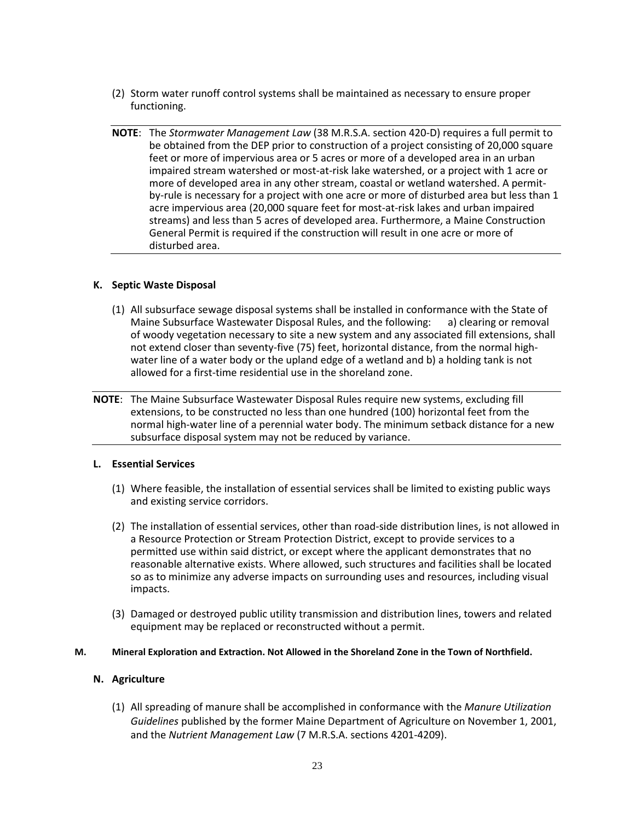- (2) Storm water runoff control systems shall be maintained as necessary to ensure proper functioning.
- **NOTE**: The *Stormwater Management Law* (38 M.R.S.A. section 420-D) requires a full permit to be obtained from the DEP prior to construction of a project consisting of 20,000 square feet or more of impervious area or 5 acres or more of a developed area in an urban impaired stream watershed or most-at-risk lake watershed, or a project with 1 acre or more of developed area in any other stream, coastal or wetland watershed. A permitby-rule is necessary for a project with one acre or more of disturbed area but less than 1 acre impervious area (20,000 square feet for most-at-risk lakes and urban impaired streams) and less than 5 acres of developed area. Furthermore, a Maine Construction General Permit is required if the construction will result in one acre or more of disturbed area.

### **K. Septic Waste Disposal**

- (1) All subsurface sewage disposal systems shall be installed in conformance with the State of Maine Subsurface Wastewater Disposal Rules, and the following: a) clearing or removal of woody vegetation necessary to site a new system and any associated fill extensions, shall not extend closer than seventy-five (75) feet, horizontal distance, from the normal highwater line of a water body or the upland edge of a wetland and b) a holding tank is not allowed for a first-time residential use in the shoreland zone.
- **NOTE**: The Maine Subsurface Wastewater Disposal Rules require new systems, excluding fill extensions, to be constructed no less than one hundred (100) horizontal feet from the normal high-water line of a perennial water body. The minimum setback distance for a new subsurface disposal system may not be reduced by variance.

#### **L. Essential Services**

- (1) Where feasible, the installation of essential services shall be limited to existing public ways and existing service corridors.
- (2) The installation of essential services, other than road-side distribution lines, is not allowed in a Resource Protection or Stream Protection District, except to provide services to a permitted use within said district, or except where the applicant demonstrates that no reasonable alternative exists. Where allowed, such structures and facilities shall be located so as to minimize any adverse impacts on surrounding uses and resources, including visual impacts.
- (3) Damaged or destroyed public utility transmission and distribution lines, towers and related equipment may be replaced or reconstructed without a permit.

#### **M. Mineral Exploration and Extraction. Not Allowed in the Shoreland Zone in the Town of Northfield.**

### **N. Agriculture**

(1) All spreading of manure shall be accomplished in conformance with the *Manure Utilization Guidelines* published by the former Maine Department of Agriculture on November 1, 2001, and the *Nutrient Management Law* (7 M.R.S.A. sections 4201-4209).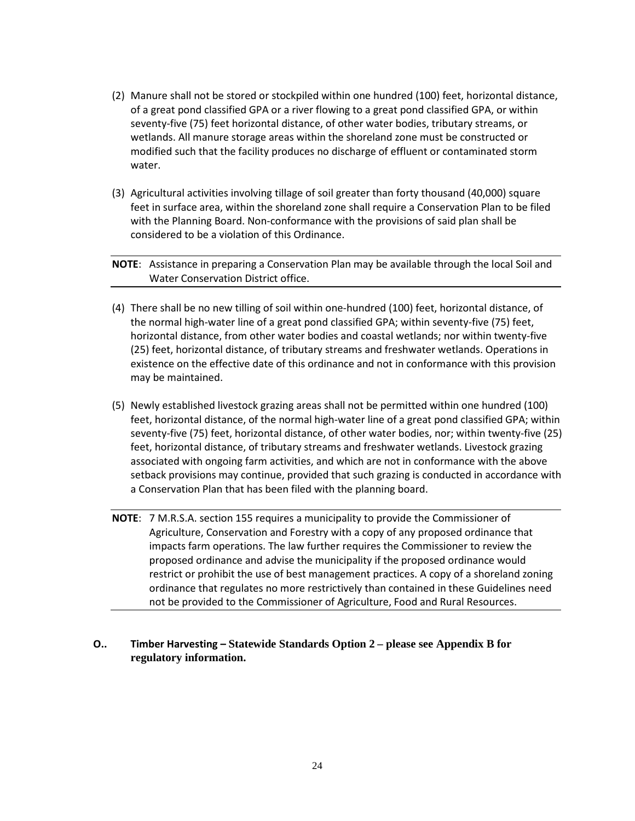- (2) Manure shall not be stored or stockpiled within one hundred (100) feet, horizontal distance, of a great pond classified GPA or a river flowing to a great pond classified GPA, or within seventy-five (75) feet horizontal distance, of other water bodies, tributary streams, or wetlands. All manure storage areas within the shoreland zone must be constructed or modified such that the facility produces no discharge of effluent or contaminated storm water.
- (3) Agricultural activities involving tillage of soil greater than forty thousand (40,000) square feet in surface area, within the shoreland zone shall require a Conservation Plan to be filed with the Planning Board. Non-conformance with the provisions of said plan shall be considered to be a violation of this Ordinance.

# **NOTE**: Assistance in preparing a Conservation Plan may be available through the local Soil and Water Conservation District office.

- (4) There shall be no new tilling of soil within one-hundred (100) feet, horizontal distance, of the normal high-water line of a great pond classified GPA; within seventy-five (75) feet, horizontal distance, from other water bodies and coastal wetlands; nor within twenty-five (25) feet, horizontal distance, of tributary streams and freshwater wetlands. Operations in existence on the effective date of this ordinance and not in conformance with this provision may be maintained.
- (5) Newly established livestock grazing areas shall not be permitted within one hundred (100) feet, horizontal distance, of the normal high-water line of a great pond classified GPA; within seventy-five (75) feet, horizontal distance, of other water bodies, nor; within twenty-five (25) feet, horizontal distance, of tributary streams and freshwater wetlands. Livestock grazing associated with ongoing farm activities, and which are not in conformance with the above setback provisions may continue, provided that such grazing is conducted in accordance with a Conservation Plan that has been filed with the planning board.
- **NOTE**: 7 M.R.S.A. section 155 requires a municipality to provide the Commissioner of Agriculture, Conservation and Forestry with a copy of any proposed ordinance that impacts farm operations. The law further requires the Commissioner to review the proposed ordinance and advise the municipality if the proposed ordinance would restrict or prohibit the use of best management practices. A copy of a shoreland zoning ordinance that regulates no more restrictively than contained in these Guidelines need not be provided to the Commissioner of Agriculture, Food and Rural Resources.

# **O.. Timber Harvesting – Statewide Standards Option 2 – please see Appendix B for regulatory information.**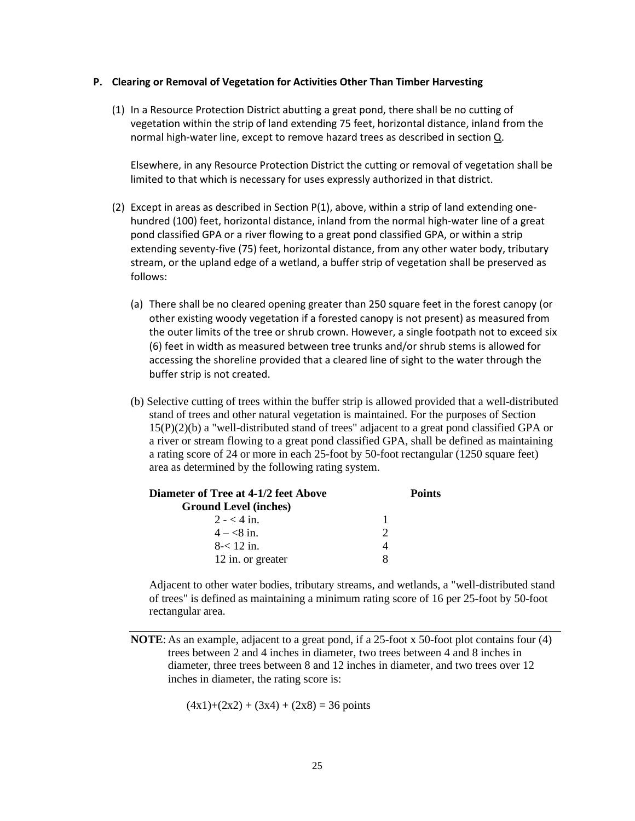### **P. Clearing or Removal of Vegetation for Activities Other Than Timber Harvesting**

(1) In a Resource Protection District abutting a great pond, there shall be no cutting of vegetation within the strip of land extending 75 feet, horizontal distance, inland from the normal high-water line, except to remove hazard trees as described in section Q.

 Elsewhere, in any Resource Protection District the cutting or removal of vegetation shall be limited to that which is necessary for uses expressly authorized in that district.

- (2) Except in areas as described in Section P(1), above, within a strip of land extending onehundred (100) feet, horizontal distance, inland from the normal high-water line of a great pond classified GPA or a river flowing to a great pond classified GPA, or within a strip extending seventy-five (75) feet, horizontal distance, from any other water body, tributary stream, or the upland edge of a wetland, a buffer strip of vegetation shall be preserved as follows:
	- (a) There shall be no cleared opening greater than 250 square feet in the forest canopy (or other existing woody vegetation if a forested canopy is not present) as measured from the outer limits of the tree or shrub crown. However, a single footpath not to exceed six (6) feet in width as measured between tree trunks and/or shrub stems is allowed for accessing the shoreline provided that a cleared line of sight to the water through the buffer strip is not created.
	- (b) Selective cutting of trees within the buffer strip is allowed provided that a well-distributed stand of trees and other natural vegetation is maintained. For the purposes of Section 15(P)(2)(b) a "well-distributed stand of trees" adjacent to a great pond classified GPA or a river or stream flowing to a great pond classified GPA, shall be defined as maintaining a rating score of 24 or more in each 25-foot by 50-foot rectangular (1250 square feet) area as determined by the following rating system.

| <b>Diameter of Tree at 4-1/2 feet Above</b> |               | <b>Points</b> |  |
|---------------------------------------------|---------------|---------------|--|
| <b>Ground Level (inches)</b>                |               |               |  |
| $2 - 4$ in.                                 |               |               |  |
| $4 - < 8$ in.                               | $\mathcal{D}$ |               |  |
| $8 - 12$ in.                                | 4             |               |  |
| 12 in. or greater                           |               |               |  |

 Adjacent to other water bodies, tributary streams, and wetlands, a "well-distributed stand of trees" is defined as maintaining a minimum rating score of 16 per 25-foot by 50-foot rectangular area.

$$
(4x1)+(2x2) + (3x4) + (2x8) = 36 \text{ points}
$$

**NOTE:** As an example, adjacent to a great pond, if a 25-foot x 50-foot plot contains four (4) trees between 2 and 4 inches in diameter, two trees between 4 and 8 inches in diameter, three trees between 8 and 12 inches in diameter, and two trees over 12 inches in diameter, the rating score is: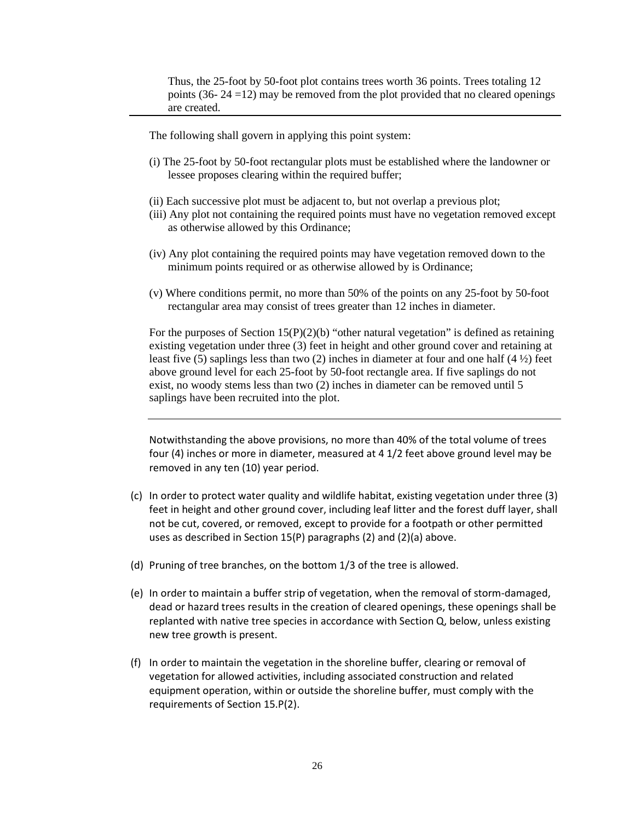Thus, the 25-foot by 50-foot plot contains trees worth 36 points. Trees totaling 12 points (36-  $24 = 12$ ) may be removed from the plot provided that no cleared openings are created.

The following shall govern in applying this point system:

- (i) The 25-foot by 50-foot rectangular plots must be established where the landowner or lessee proposes clearing within the required buffer;
- (ii) Each successive plot must be adjacent to, but not overlap a previous plot;
- (iii) Any plot not containing the required points must have no vegetation removed except as otherwise allowed by this Ordinance;
- (iv) Any plot containing the required points may have vegetation removed down to the minimum points required or as otherwise allowed by is Ordinance;
- (v) Where conditions permit, no more than 50% of the points on any 25-foot by 50-foot rectangular area may consist of trees greater than 12 inches in diameter.

For the purposes of Section 15(P)(2)(b) "other natural vegetation" is defined as retaining existing vegetation under three (3) feet in height and other ground cover and retaining at least five (5) saplings less than two (2) inches in diameter at four and one half (4 ½) feet above ground level for each 25-foot by 50-foot rectangle area. If five saplings do not exist, no woody stems less than two (2) inches in diameter can be removed until 5 saplings have been recruited into the plot.

Notwithstanding the above provisions, no more than 40% of the total volume of trees four (4) inches or more in diameter, measured at 4 1/2 feet above ground level may be removed in any ten (10) year period.

- (c) In order to protect water quality and wildlife habitat, existing vegetation under three (3) feet in height and other ground cover, including leaf litter and the forest duff layer, shall not be cut, covered, or removed, except to provide for a footpath or other permitted uses as described in Section 15(P) paragraphs (2) and (2)(a) above.
- (d) Pruning of tree branches, on the bottom 1/3 of the tree is allowed.
- (e) In order to maintain a buffer strip of vegetation, when the removal of storm-damaged, dead or hazard trees results in the creation of cleared openings, these openings shall be replanted with native tree species in accordance with Section Q, below, unless existing new tree growth is present.
- (f) In order to maintain the vegetation in the shoreline buffer, clearing or removal of vegetation for allowed activities, including associated construction and related equipment operation, within or outside the shoreline buffer, must comply with the requirements of Section 15.P(2).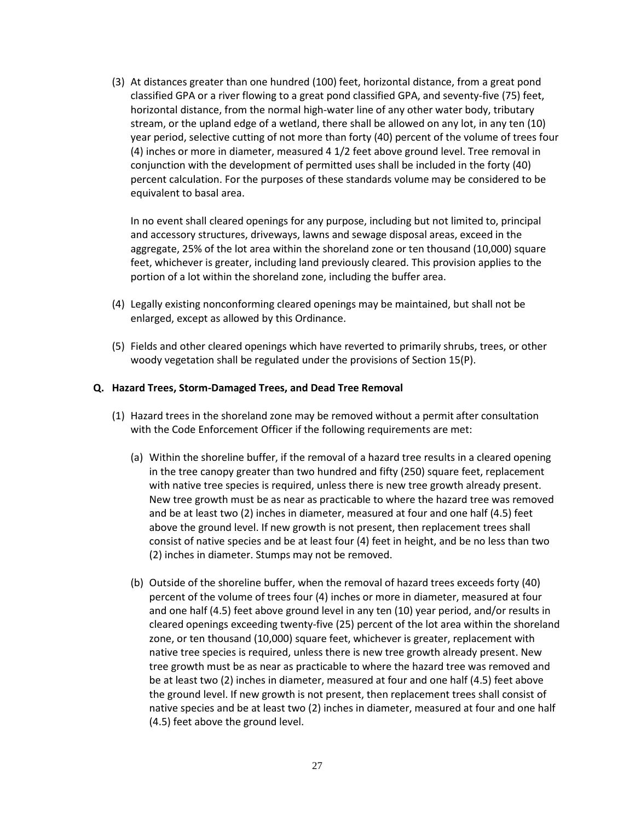(3) At distances greater than one hundred (100) feet, horizontal distance, from a great pond classified GPA or a river flowing to a great pond classified GPA, and seventy-five (75) feet, horizontal distance, from the normal high-water line of any other water body, tributary stream, or the upland edge of a wetland, there shall be allowed on any lot, in any ten (10) year period, selective cutting of not more than forty (40) percent of the volume of trees four (4) inches or more in diameter, measured 4 1/2 feet above ground level. Tree removal in conjunction with the development of permitted uses shall be included in the forty (40) percent calculation. For the purposes of these standards volume may be considered to be equivalent to basal area.

 In no event shall cleared openings for any purpose, including but not limited to, principal and accessory structures, driveways, lawns and sewage disposal areas, exceed in the aggregate, 25% of the lot area within the shoreland zone or ten thousand (10,000) square feet, whichever is greater, including land previously cleared. This provision applies to the portion of a lot within the shoreland zone, including the buffer area.

- (4) Legally existing nonconforming cleared openings may be maintained, but shall not be enlarged, except as allowed by this Ordinance.
- (5) Fields and other cleared openings which have reverted to primarily shrubs, trees, or other woody vegetation shall be regulated under the provisions of Section 15(P).

## **Q. Hazard Trees, Storm-Damaged Trees, and Dead Tree Removal**

- (1) Hazard trees in the shoreland zone may be removed without a permit after consultation with the Code Enforcement Officer if the following requirements are met:
	- (a) Within the shoreline buffer, if the removal of a hazard tree results in a cleared opening in the tree canopy greater than two hundred and fifty (250) square feet, replacement with native tree species is required, unless there is new tree growth already present. New tree growth must be as near as practicable to where the hazard tree was removed and be at least two (2) inches in diameter, measured at four and one half (4.5) feet above the ground level. If new growth is not present, then replacement trees shall consist of native species and be at least four (4) feet in height, and be no less than two (2) inches in diameter. Stumps may not be removed.
	- (b) Outside of the shoreline buffer, when the removal of hazard trees exceeds forty (40) percent of the volume of trees four (4) inches or more in diameter, measured at four and one half (4.5) feet above ground level in any ten (10) year period, and/or results in cleared openings exceeding twenty-five (25) percent of the lot area within the shoreland zone, or ten thousand (10,000) square feet, whichever is greater, replacement with native tree species is required, unless there is new tree growth already present. New tree growth must be as near as practicable to where the hazard tree was removed and be at least two (2) inches in diameter, measured at four and one half (4.5) feet above the ground level. If new growth is not present, then replacement trees shall consist of native species and be at least two (2) inches in diameter, measured at four and one half (4.5) feet above the ground level.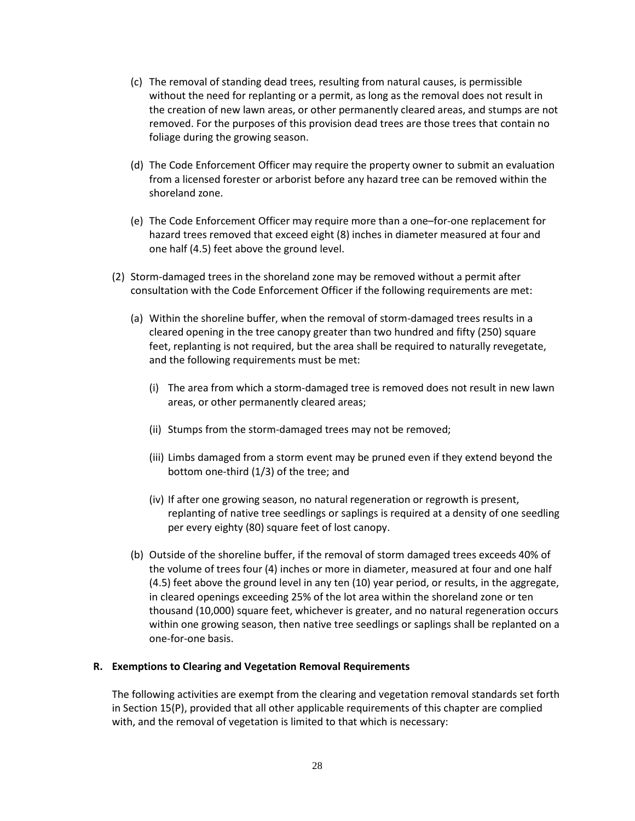- (c) The removal of standing dead trees, resulting from natural causes, is permissible without the need for replanting or a permit, as long as the removal does not result in the creation of new lawn areas, or other permanently cleared areas, and stumps are not removed. For the purposes of this provision dead trees are those trees that contain no foliage during the growing season.
- (d) The Code Enforcement Officer may require the property owner to submit an evaluation from a licensed forester or arborist before any hazard tree can be removed within the shoreland zone.
- (e) The Code Enforcement Officer may require more than a one–for-one replacement for hazard trees removed that exceed eight (8) inches in diameter measured at four and one half (4.5) feet above the ground level.
- (2) Storm-damaged trees in the shoreland zone may be removed without a permit after consultation with the Code Enforcement Officer if the following requirements are met:
	- (a) Within the shoreline buffer, when the removal of storm-damaged trees results in a cleared opening in the tree canopy greater than two hundred and fifty (250) square feet, replanting is not required, but the area shall be required to naturally revegetate, and the following requirements must be met:
		- (i) The area from which a storm-damaged tree is removed does not result in new lawn areas, or other permanently cleared areas;
		- (ii) Stumps from the storm-damaged trees may not be removed;
		- (iii) Limbs damaged from a storm event may be pruned even if they extend beyond the bottom one-third (1/3) of the tree; and
		- (iv) If after one growing season, no natural regeneration or regrowth is present, replanting of native tree seedlings or saplings is required at a density of one seedling per every eighty (80) square feet of lost canopy.
	- (b) Outside of the shoreline buffer, if the removal of storm damaged trees exceeds 40% of the volume of trees four (4) inches or more in diameter, measured at four and one half (4.5) feet above the ground level in any ten (10) year period, or results, in the aggregate, in cleared openings exceeding 25% of the lot area within the shoreland zone or ten thousand (10,000) square feet, whichever is greater, and no natural regeneration occurs within one growing season, then native tree seedlings or saplings shall be replanted on a one-for-one basis.

### **R. Exemptions to Clearing and Vegetation Removal Requirements**

The following activities are exempt from the clearing and vegetation removal standards set forth in Section 15(P), provided that all other applicable requirements of this chapter are complied with, and the removal of vegetation is limited to that which is necessary: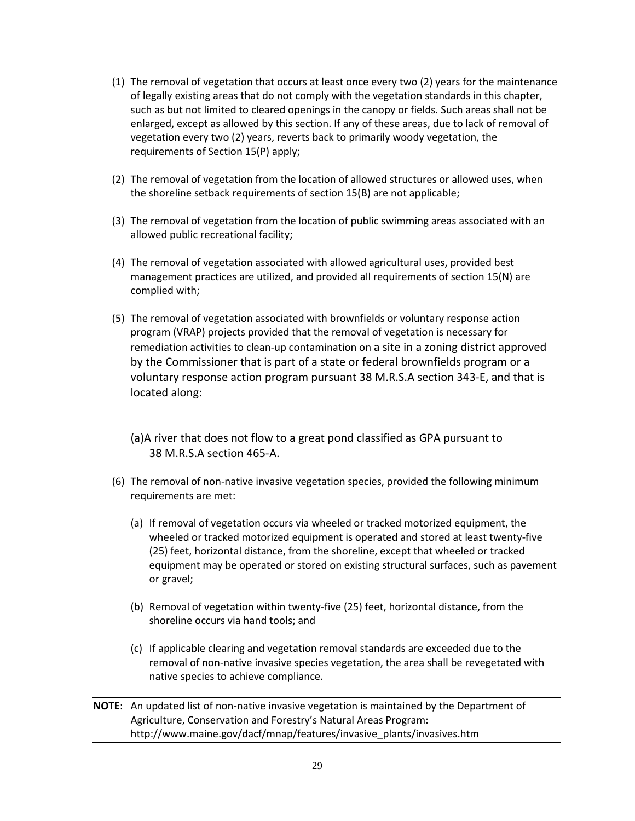- (1) The removal of vegetation that occurs at least once every two (2) years for the maintenance of legally existing areas that do not comply with the vegetation standards in this chapter, such as but not limited to cleared openings in the canopy or fields. Such areas shall not be enlarged, except as allowed by this section. If any of these areas, due to lack of removal of vegetation every two (2) years, reverts back to primarily woody vegetation, the requirements of Section 15(P) apply;
- (2) The removal of vegetation from the location of allowed structures or allowed uses, when the shoreline setback requirements of section 15(B) are not applicable;
- (3) The removal of vegetation from the location of public swimming areas associated with an allowed public recreational facility;
- (4) The removal of vegetation associated with allowed agricultural uses, provided best management practices are utilized, and provided all requirements of section 15(N) are complied with;
- (5) The removal of vegetation associated with brownfields or voluntary response action program (VRAP) projects provided that the removal of vegetation is necessary for remediation activities to clean-up contamination on a site in a zoning district approved by the Commissioner that is part of a state or federal brownfields program or a voluntary response action program pursuant 38 M.R.S.A section 343-E, and that is located along:
	- (a)A river that does not flow to a great pond classified as GPA pursuant to 38 M.R.S.A section 465-A.
- (6) The removal of non-native invasive vegetation species, provided the following minimum requirements are met:
	- (a) If removal of vegetation occurs via wheeled or tracked motorized equipment, the wheeled or tracked motorized equipment is operated and stored at least twenty-five (25) feet, horizontal distance, from the shoreline, except that wheeled or tracked equipment may be operated or stored on existing structural surfaces, such as pavement or gravel;
	- (b) Removal of vegetation within twenty-five (25) feet, horizontal distance, from the shoreline occurs via hand tools; and
	- (c) If applicable clearing and vegetation removal standards are exceeded due to the removal of non-native invasive species vegetation, the area shall be revegetated with native species to achieve compliance.

**NOTE**: An updated list of non-native invasive vegetation is maintained by the Department of Agriculture, Conservation and Forestry's Natural Areas Program: http://www.maine.gov/dacf/mnap/features/invasive\_plants/invasives.htm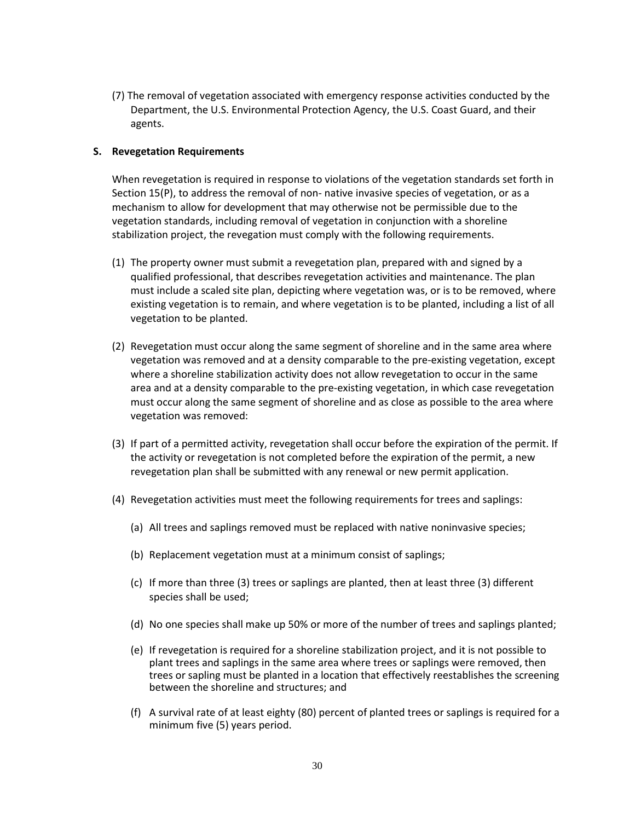(7) The removal of vegetation associated with emergency response activities conducted by the Department, the U.S. Environmental Protection Agency, the U.S. Coast Guard, and their agents.

## **S. Revegetation Requirements**

When revegetation is required in response to violations of the vegetation standards set forth in Section 15(P), to address the removal of non- native invasive species of vegetation, or as a mechanism to allow for development that may otherwise not be permissible due to the vegetation standards, including removal of vegetation in conjunction with a shoreline stabilization project, the revegation must comply with the following requirements.

- (1) The property owner must submit a revegetation plan, prepared with and signed by a qualified professional, that describes revegetation activities and maintenance. The plan must include a scaled site plan, depicting where vegetation was, or is to be removed, where existing vegetation is to remain, and where vegetation is to be planted, including a list of all vegetation to be planted.
- (2) Revegetation must occur along the same segment of shoreline and in the same area where vegetation was removed and at a density comparable to the pre-existing vegetation, except where a shoreline stabilization activity does not allow revegetation to occur in the same area and at a density comparable to the pre-existing vegetation, in which case revegetation must occur along the same segment of shoreline and as close as possible to the area where vegetation was removed:
- (3) If part of a permitted activity, revegetation shall occur before the expiration of the permit. If the activity or revegetation is not completed before the expiration of the permit, a new revegetation plan shall be submitted with any renewal or new permit application.
- (4) Revegetation activities must meet the following requirements for trees and saplings:
	- (a) All trees and saplings removed must be replaced with native noninvasive species;
	- (b) Replacement vegetation must at a minimum consist of saplings;
	- (c) If more than three (3) trees or saplings are planted, then at least three (3) different species shall be used;
	- (d) No one species shall make up 50% or more of the number of trees and saplings planted;
	- (e) If revegetation is required for a shoreline stabilization project, and it is not possible to plant trees and saplings in the same area where trees or saplings were removed, then trees or sapling must be planted in a location that effectively reestablishes the screening between the shoreline and structures; and
	- (f) A survival rate of at least eighty (80) percent of planted trees or saplings is required for a minimum five (5) years period.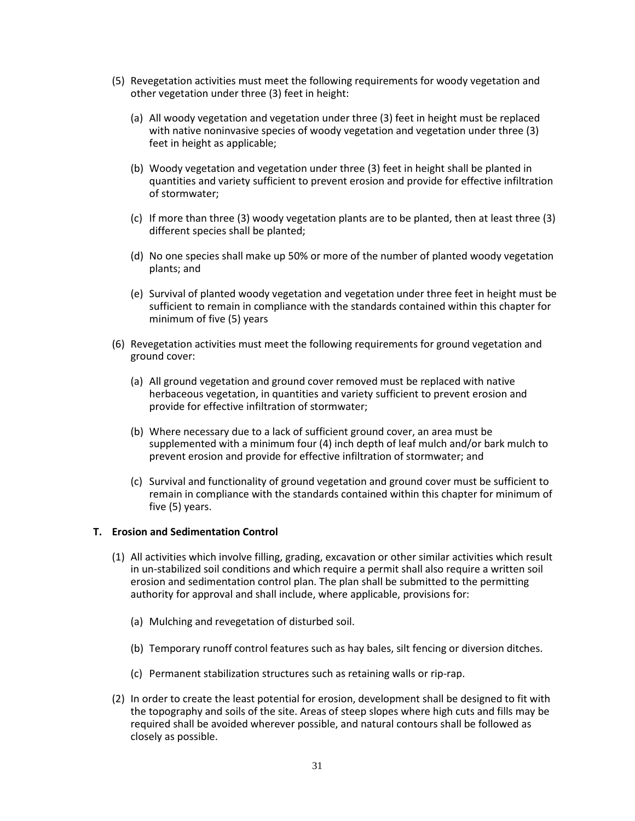- (5) Revegetation activities must meet the following requirements for woody vegetation and other vegetation under three (3) feet in height:
	- (a) All woody vegetation and vegetation under three (3) feet in height must be replaced with native noninvasive species of woody vegetation and vegetation under three (3) feet in height as applicable;
	- (b) Woody vegetation and vegetation under three (3) feet in height shall be planted in quantities and variety sufficient to prevent erosion and provide for effective infiltration of stormwater;
	- (c) If more than three (3) woody vegetation plants are to be planted, then at least three (3) different species shall be planted;
	- (d) No one species shall make up 50% or more of the number of planted woody vegetation plants; and
	- (e) Survival of planted woody vegetation and vegetation under three feet in height must be sufficient to remain in compliance with the standards contained within this chapter for minimum of five (5) years
- (6) Revegetation activities must meet the following requirements for ground vegetation and ground cover:
	- (a) All ground vegetation and ground cover removed must be replaced with native herbaceous vegetation, in quantities and variety sufficient to prevent erosion and provide for effective infiltration of stormwater;
	- (b) Where necessary due to a lack of sufficient ground cover, an area must be supplemented with a minimum four (4) inch depth of leaf mulch and/or bark mulch to prevent erosion and provide for effective infiltration of stormwater; and
	- (c) Survival and functionality of ground vegetation and ground cover must be sufficient to remain in compliance with the standards contained within this chapter for minimum of five (5) years.

## **T. Erosion and Sedimentation Control**

- (1) All activities which involve filling, grading, excavation or other similar activities which result in un-stabilized soil conditions and which require a permit shall also require a written soil erosion and sedimentation control plan. The plan shall be submitted to the permitting authority for approval and shall include, where applicable, provisions for:
	- (a) Mulching and revegetation of disturbed soil.
	- (b) Temporary runoff control features such as hay bales, silt fencing or diversion ditches.
	- (c) Permanent stabilization structures such as retaining walls or rip-rap.
- (2) In order to create the least potential for erosion, development shall be designed to fit with the topography and soils of the site. Areas of steep slopes where high cuts and fills may be required shall be avoided wherever possible, and natural contours shall be followed as closely as possible.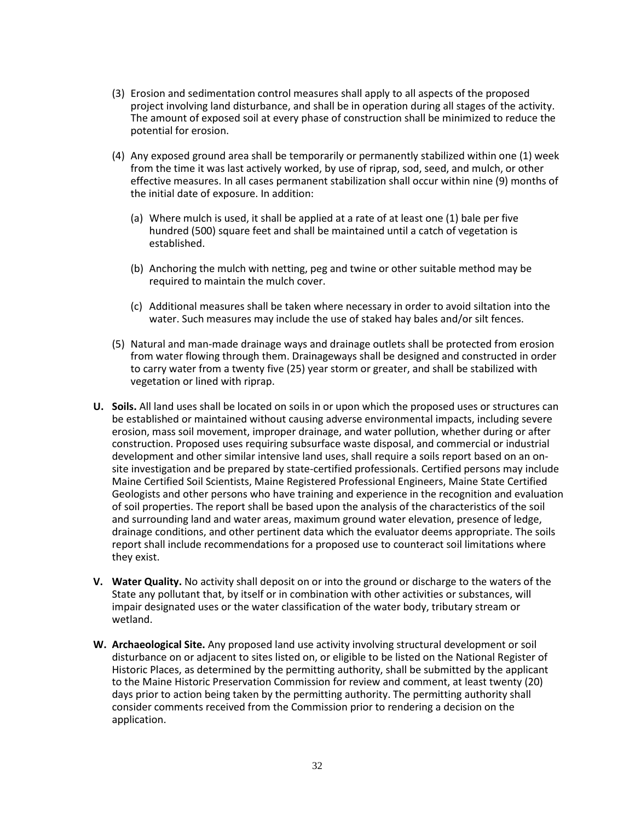- (3) Erosion and sedimentation control measures shall apply to all aspects of the proposed project involving land disturbance, and shall be in operation during all stages of the activity. The amount of exposed soil at every phase of construction shall be minimized to reduce the potential for erosion.
- (4) Any exposed ground area shall be temporarily or permanently stabilized within one (1) week from the time it was last actively worked, by use of riprap, sod, seed, and mulch, or other effective measures. In all cases permanent stabilization shall occur within nine (9) months of the initial date of exposure. In addition:
	- (a) Where mulch is used, it shall be applied at a rate of at least one (1) bale per five hundred (500) square feet and shall be maintained until a catch of vegetation is established.
	- (b) Anchoring the mulch with netting, peg and twine or other suitable method may be required to maintain the mulch cover.
	- (c) Additional measures shall be taken where necessary in order to avoid siltation into the water. Such measures may include the use of staked hay bales and/or silt fences.
- (5) Natural and man-made drainage ways and drainage outlets shall be protected from erosion from water flowing through them. Drainageways shall be designed and constructed in order to carry water from a twenty five (25) year storm or greater, and shall be stabilized with vegetation or lined with riprap.
- **U. Soils.** All land uses shall be located on soils in or upon which the proposed uses or structures can be established or maintained without causing adverse environmental impacts, including severe erosion, mass soil movement, improper drainage, and water pollution, whether during or after construction. Proposed uses requiring subsurface waste disposal, and commercial or industrial development and other similar intensive land uses, shall require a soils report based on an onsite investigation and be prepared by state-certified professionals. Certified persons may include Maine Certified Soil Scientists, Maine Registered Professional Engineers, Maine State Certified Geologists and other persons who have training and experience in the recognition and evaluation of soil properties. The report shall be based upon the analysis of the characteristics of the soil and surrounding land and water areas, maximum ground water elevation, presence of ledge, drainage conditions, and other pertinent data which the evaluator deems appropriate. The soils report shall include recommendations for a proposed use to counteract soil limitations where they exist.
- **V. Water Quality.** No activity shall deposit on or into the ground or discharge to the waters of the State any pollutant that, by itself or in combination with other activities or substances, will impair designated uses or the water classification of the water body, tributary stream or wetland.
- **W. Archaeological Site.** Any proposed land use activity involving structural development or soil disturbance on or adjacent to sites listed on, or eligible to be listed on the National Register of Historic Places, as determined by the permitting authority, shall be submitted by the applicant to the Maine Historic Preservation Commission for review and comment, at least twenty (20) days prior to action being taken by the permitting authority. The permitting authority shall consider comments received from the Commission prior to rendering a decision on the application.